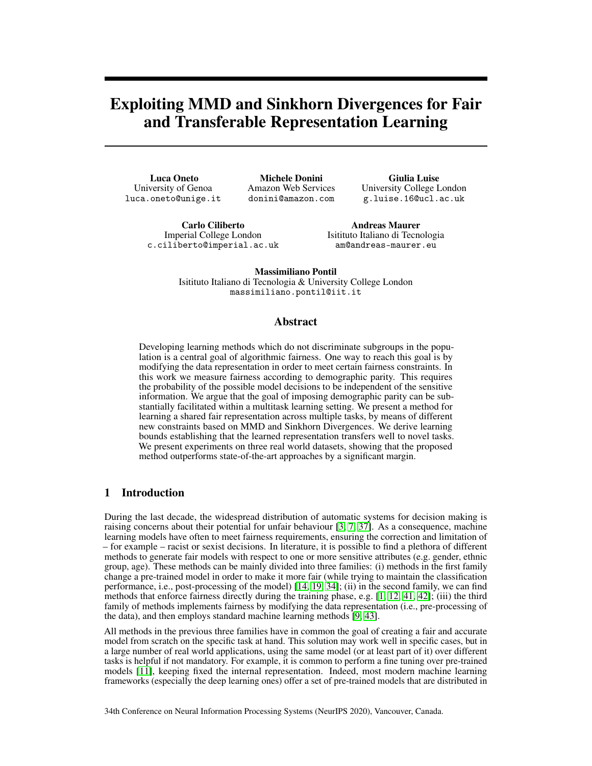# Exploiting MMD and Sinkhorn Divergences for Fair and Transferable Representation Learning

Luca Oneto University of Genoa luca.oneto@unige.it

Michele Donini Amazon Web Services donini@amazon.com

Giulia Luise University College London g.luise.16@ucl.ac.uk

Carlo Ciliberto Imperial College London c.ciliberto@imperial.ac.uk

Andreas Maurer Isitituto Italiano di Tecnologia am@andreas-maurer.eu

Massimiliano Pontil Isitituto Italiano di Tecnologia & University College London massimiliano.pontil@iit.it

#### Abstract

Developing learning methods which do not discriminate subgroups in the population is a central goal of algorithmic fairness. One way to reach this goal is by modifying the data representation in order to meet certain fairness constraints. In this work we measure fairness according to demographic parity. This requires the probability of the possible model decisions to be independent of the sensitive information. We argue that the goal of imposing demographic parity can be substantially facilitated within a multitask learning setting. We present a method for learning a shared fair representation across multiple tasks, by means of different new constraints based on MMD and Sinkhorn Divergences. We derive learning bounds establishing that the learned representation transfers well to novel tasks. We present experiments on three real world datasets, showing that the proposed method outperforms state-of-the-art approaches by a significant margin.

### 1 Introduction

During the last decade, the widespread distribution of automatic systems for decision making is raising concerns about their potential for unfair behaviour [\[3,](#page-8-0) [7,](#page-8-1) [37\]](#page-9-0). As a consequence, machine learning models have often to meet fairness requirements, ensuring the correction and limitation of – for example – racist or sexist decisions. In literature, it is possible to find a plethora of different methods to generate fair models with respect to one or more sensitive attributes (e.g. gender, ethnic group, age). These methods can be mainly divided into three families: (i) methods in the first family change a pre-trained model in order to make it more fair (while trying to maintain the classification performance, i.e., post-processing of the model) [\[14,](#page-9-1) [19,](#page-9-2) [34\]](#page-9-3); (ii) in the second family, we can find methods that enforce fairness directly during the training phase, e.g. [\[1,](#page-8-2) [12,](#page-8-3) [41,](#page-10-0) [42\]](#page-10-1); (iii) the third family of methods implements fairness by modifying the data representation (i.e., pre-processing of the data), and then employs standard machine learning methods [\[9,](#page-8-4) [43\]](#page-10-2).

All methods in the previous three families have in common the goal of creating a fair and accurate model from scratch on the specific task at hand. This solution may work well in specific cases, but in a large number of real world applications, using the same model (or at least part of it) over different tasks is helpful if not mandatory. For example, it is common to perform a fine tuning over pre-trained models [\[11\]](#page-8-5), keeping fixed the internal representation. Indeed, most modern machine learning frameworks (especially the deep learning ones) offer a set of pre-trained models that are distributed in

34th Conference on Neural Information Processing Systems (NeurIPS 2020), Vancouver, Canada.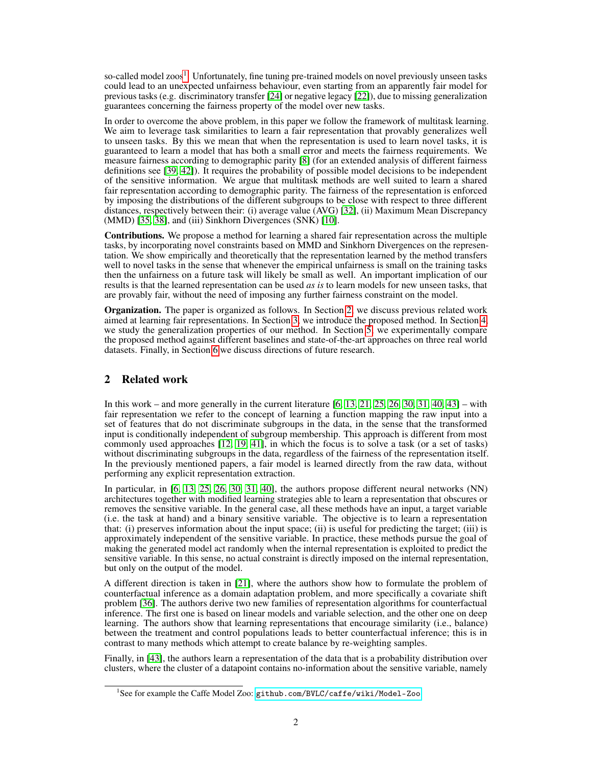so-called model zoos<sup>[1](#page-1-0)</sup>. Unfortunately, fine tuning pre-trained models on novel previously unseen tasks could lead to an unexpected unfairness behaviour, even starting from an apparently fair model for previous tasks (e.g. discriminatory transfer [\[24\]](#page-9-4) or negative legacy [\[22\]](#page-9-5)), due to missing generalization guarantees concerning the fairness property of the model over new tasks.

In order to overcome the above problem, in this paper we follow the framework of multitask learning. We aim to leverage task similarities to learn a fair representation that provably generalizes well to unseen tasks. By this we mean that when the representation is used to learn novel tasks, it is guaranteed to learn a model that has both a small error and meets the fairness requirements. We measure fairness according to demographic parity [\[8\]](#page-8-6) (for an extended analysis of different fairness definitions see [\[39,](#page-10-3) [42\]](#page-10-1)). It requires the probability of possible model decisions to be independent of the sensitive information. We argue that multitask methods are well suited to learn a shared fair representation according to demographic parity. The fairness of the representation is enforced by imposing the distributions of the different subgroups to be close with respect to three different distances, respectively between their: (i) average value (AVG) [\[32\]](#page-9-6), (ii) Maximum Mean Discrepancy (MMD) [\[35,](#page-9-7) [38\]](#page-9-8), and (iii) Sinkhorn Divergences (SNK) [\[10\]](#page-8-7).

Contributions. We propose a method for learning a shared fair representation across the multiple tasks, by incorporating novel constraints based on MMD and Sinkhorn Divergences on the representation. We show empirically and theoretically that the representation learned by the method transfers well to novel tasks in the sense that whenever the empirical unfairness is small on the training tasks then the unfairness on a future task will likely be small as well. An important implication of our results is that the learned representation can be used *as is* to learn models for new unseen tasks, that are provably fair, without the need of imposing any further fairness constraint on the model.

Organization. The paper is organized as follows. In Section [2,](#page-1-1) we discuss previous related work aimed at learning fair representations. In Section [3,](#page-2-0) we introduce the proposed method. In Section [4,](#page-3-0) we study the generalization properties of our method. In Section  $\bar{5}$ , we experimentally compare the proposed method against different baselines and state-of-the-art approaches on three real world datasets. Finally, in Section [6](#page-7-0) we discuss directions of future research.

## <span id="page-1-1"></span>2 Related work

In this work – and more generally in the current literature  $[6, 13, 21, 25, 26, 30, 31, 40, 43]$  $[6, 13, 21, 25, 26, 30, 31, 40, 43]$  $[6, 13, 21, 25, 26, 30, 31, 40, 43]$  $[6, 13, 21, 25, 26, 30, 31, 40, 43]$  $[6, 13, 21, 25, 26, 30, 31, 40, 43]$  $[6, 13, 21, 25, 26, 30, 31, 40, 43]$  $[6, 13, 21, 25, 26, 30, 31, 40, 43]$  $[6, 13, 21, 25, 26, 30, 31, 40, 43]$  $[6, 13, 21, 25, 26, 30, 31, 40, 43]$  $[6, 13, 21, 25, 26, 30, 31, 40, 43]$  $[6, 13, 21, 25, 26, 30, 31, 40, 43]$  $[6, 13, 21, 25, 26, 30, 31, 40, 43]$  $[6, 13, 21, 25, 26, 30, 31, 40, 43]$  $[6, 13, 21, 25, 26, 30, 31, 40, 43]$  $[6, 13, 21, 25, 26, 30, 31, 40, 43]$  $[6, 13, 21, 25, 26, 30, 31, 40, 43]$  $[6, 13, 21, 25, 26, 30, 31, 40, 43]$  – with fair representation we refer to the concept of learning a function mapping the raw input into a set of features that do not discriminate subgroups in the data, in the sense that the transformed input is conditionally independent of subgroup membership. This approach is different from most commonly used approaches [\[12,](#page-8-3) [19,](#page-9-2) [41\]](#page-10-0), in which the focus is to solve a task (or a set of tasks) without discriminating subgroups in the data, regardless of the fairness of the representation itself. In the previously mentioned papers, a fair model is learned directly from the raw data, without performing any explicit representation extraction.

In particular, in [\[6,](#page-8-8) [13,](#page-8-9) [25,](#page-9-10) [26,](#page-9-11) [30,](#page-9-12) [31,](#page-9-13) [40\]](#page-10-4), the authors propose different neural networks (NN) architectures together with modified learning strategies able to learn a representation that obscures or removes the sensitive variable. In the general case, all these methods have an input, a target variable (i.e. the task at hand) and a binary sensitive variable. The objective is to learn a representation that: (i) preserves information about the input space; (ii) is useful for predicting the target; (iii) is approximately independent of the sensitive variable. In practice, these methods pursue the goal of making the generated model act randomly when the internal representation is exploited to predict the sensitive variable. In this sense, no actual constraint is directly imposed on the internal representation, but only on the output of the model.

A different direction is taken in [\[21\]](#page-9-9), where the authors show how to formulate the problem of counterfactual inference as a domain adaptation problem, and more specifically a covariate shift problem [\[36\]](#page-9-14). The authors derive two new families of representation algorithms for counterfactual inference. The first one is based on linear models and variable selection, and the other one on deep learning. The authors show that learning representations that encourage similarity (i.e., balance) between the treatment and control populations leads to better counterfactual inference; this is in contrast to many methods which attempt to create balance by re-weighting samples.

Finally, in [\[43\]](#page-10-2), the authors learn a representation of the data that is a probability distribution over clusters, where the cluster of a datapoint contains no-information about the sensitive variable, namely

<span id="page-1-0"></span><sup>&</sup>lt;sup>1</sup>See for example the Caffe Model Zoo: <github.com/BVLC/caffe/wiki/Model-Zoo>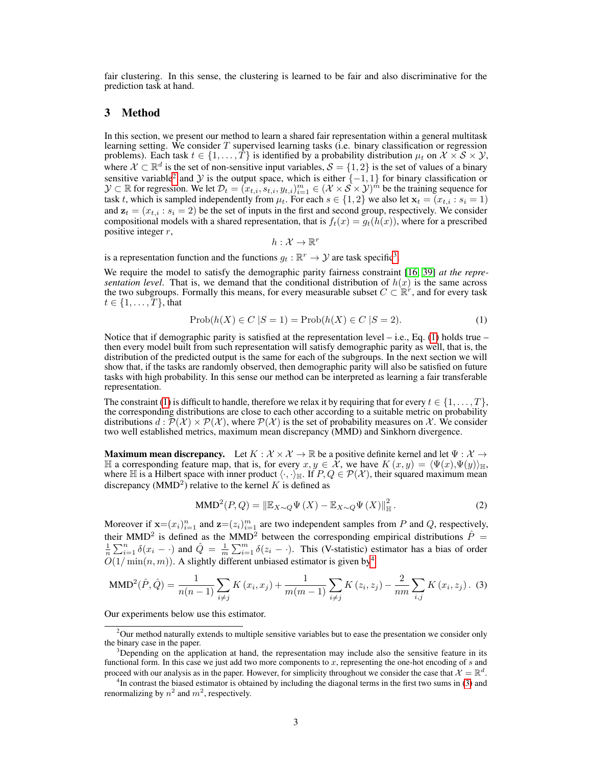fair clustering. In this sense, the clustering is learned to be fair and also discriminative for the prediction task at hand.

### <span id="page-2-0"></span>3 Method

In this section, we present our method to learn a shared fair representation within a general multitask learning setting. We consider  $T$  supervised learning tasks (i.e. binary classification or regression problems). Each task  $t \in \{1, ..., T\}$  is identified by a probability distribution  $\mu_t$  on  $\mathcal{X} \times \mathcal{S} \times \mathcal{Y}$ , where  $\mathcal{X} \subset \mathbb{R}^d$  is the set of non-sensitive input variables,  $\mathcal{S} = \{1, 2\}$  is the set of values of a binary sensitive variable<sup>[2](#page-2-1)</sup> and  $\mathcal Y$  is the output space, which is either  $\{-1, 1\}$  for binary classification or  $\mathcal{Y} \subset \mathbb{R}$  for regression. We let  $\mathcal{D}_t = (x_{t,i}, s_{t,i}, y_{t,i})_{i=1}^m \in (\mathcal{X} \times \mathcal{S} \times \mathcal{Y})^m$  be the training sequence for task t, which is sampled independently from  $\mu_t$ . For each  $s \in \{1,2\}$  we also let  $\mathbf{x}_t = (x_{t,i} : s_i = 1)$ and  $z_t = (x_{t,i} : s_i = 2)$  be the set of inputs in the first and second group, respectively. We consider compositional models with a shared representation, that is  $f_t(x) = g_t(h(x))$ , where for a prescribed positive integer r,

<span id="page-2-3"></span>
$$
h:\mathcal{X}\to\mathbb{R}^r
$$

is a representation function and the functions  $g_t : \mathbb{R}^r \to \mathcal{Y}$  are task specific<sup>[3](#page-2-2)</sup>.

We require the model to satisfy the demographic parity fairness constraint [\[16,](#page-9-15) [39\]](#page-10-3) *at the representation level.* That is, we demand that the conditional distribution of  $h(x)$  is the same across the two subgroups. Formally this means, for every measurable subset  $C \subset \mathbb{R}^r$ , and for every task  $t \in \{1, \ldots, T\}$ , that

$$
Prob(h(X) \in C | S = 1) = Prob(h(X) \in C | S = 2).
$$
\n(1)

Notice that if demographic parity is satisfied at the representation level  $-$  i.e., Eq. [\(1\)](#page-2-3) holds true  $$ then every model built from such representation will satisfy demographic parity as well, that is, the distribution of the predicted output is the same for each of the subgroups. In the next section we will show that, if the tasks are randomly observed, then demographic parity will also be satisfied on future tasks with high probability. In this sense our method can be interpreted as learning a fair transferable representation.

The constraint [\(1\)](#page-2-3) is difficult to handle, therefore we relax it by requiring that for every  $t \in \{1, \ldots, T\}$ , the corresponding distributions are close to each other according to a suitable metric on probability distributions  $d : \overline{\mathcal{P}}(\mathcal{X}) \times \mathcal{P}(\mathcal{X})$ , where  $\mathcal{P}(\mathcal{X})$  is the set of probability measures on X. We consider two well established metrics, maximum mean discrepancy (MMD) and Sinkhorn divergence.

Maximum mean discrepancy. Let  $K : \mathcal{X} \times \mathcal{X} \to \mathbb{R}$  be a positive definite kernel and let  $\Psi : \mathcal{X} \to \mathbb{R}$ H a corresponding feature map, that is, for every  $x, y \in \mathcal{X}$ , we have  $K(x, y) = \langle \Psi(x), \Psi(y) \rangle_{\mathbb{H}}$ , where H is a Hilbert space with inner product  $\langle \cdot, \cdot \rangle_{\mathbb{H}}$ . If  $P, Q \in \mathcal{P}(\mathcal{X})$ , their squared maximum mean discrepancy (MMD<sup>2</sup>) relative to the kernel K is defined as

<span id="page-2-5"></span>
$$
\text{MMD}^{2}(P,Q) = \left\| \mathbb{E}_{X \sim Q} \Psi\left(X\right) - \mathbb{E}_{X \sim Q} \Psi\left(X\right) \right\|_{\mathbb{H}}^{2}.
$$
 (2)

Moreover if  $\mathbf{x} = (x_i)_{i=1}^n$  and  $\mathbf{z} = (z_i)_{i=1}^m$  are two independent samples from P and Q, respectively, their MMD<sup>2</sup> is defined as the MMD<sup>2</sup> between the corresponding empirical distributions  $\hat{P} =$  $\frac{1}{n}\sum_{i=1}^n \delta(x_i - \cdot)$  and  $\hat{Q} = \frac{1}{m}\sum_{i=1}^m \delta(z_i - \cdot)$ . This (V-statistic) estimator has a bias of order  $\overline{O(1/\min(n,m)})$ . A slightly different unbiased estimator is given by<sup>[4](#page-2-4)</sup>

MMD<sup>2</sup>(
$$
\hat{P}
$$
,  $\hat{Q}$ ) =  $\frac{1}{n(n-1)} \sum_{i \neq j} K(x_i, x_j) + \frac{1}{m(m-1)} \sum_{i \neq j} K(z_i, z_j) - \frac{2}{nm} \sum_{i,j} K(x_i, z_j)$ . (3)

Our experiments below use this estimator.

<span id="page-2-1"></span> $2$ Our method naturally extends to multiple sensitive variables but to ease the presentation we consider only the binary case in the paper.

<span id="page-2-2"></span><sup>&</sup>lt;sup>3</sup>Depending on the application at hand, the representation may include also the sensitive feature in its functional form. In this case we just add two more components to  $x$ , representing the one-hot encoding of  $s$  and proceed with our analysis as in the paper. However, for simplicity throughout we consider the case that  $\mathcal{X} = \mathbb{R}^d$ .

<span id="page-2-4"></span><sup>&</sup>lt;sup>4</sup>In contrast the biased estimator is obtained by including the diagonal terms in the first two sums in [\(3\)](#page-2-5) and renormalizing by  $n^2$  and  $m^2$ , respectively.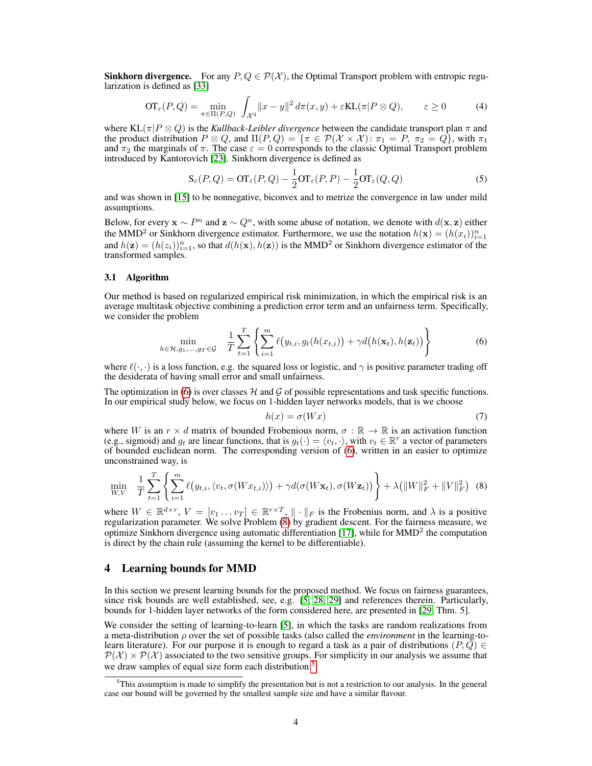**Sinkhorn divergence.** For any  $P, Q \in \mathcal{P}(\mathcal{X})$ , the Optimal Transport problem with entropic regularization is defined as [\[33\]](#page-9-16)

$$
\text{OT}_{\varepsilon}(P, Q) = \min_{\pi \in \Pi(P, Q)} \int_{\mathcal{X}^2} ||x - y||^2 \, d\pi(x, y) + \varepsilon \text{KL}(\pi | P \otimes Q), \qquad \varepsilon \ge 0 \tag{4}
$$

where  $KL(\pi|P \otimes Q)$  is the *Kullback-Leibler divergence* between the candidate transport plan  $\pi$  and the product distribution  $P \otimes Q$ , and  $\Pi(P,Q) = \{\pi \in P(\mathcal{X} \times \mathcal{X}) : \pi_1 = P, \pi_2 = Q\}$ , with  $\pi_1$ and  $\pi_2$  the marginals of  $\pi$ . The case  $\varepsilon = 0$  corresponds to the classic Optimal Transport problem introduced by Kantorovich [\[23\]](#page-9-17). Sinkhorn divergence is defined as

$$
\mathbf{S}_{\varepsilon}(P,Q) = \mathbf{O} \mathbf{T}_{\varepsilon}(P,Q) - \frac{1}{2} \mathbf{O} \mathbf{T}_{\varepsilon}(P,P) - \frac{1}{2} \mathbf{O} \mathbf{T}_{\varepsilon}(Q,Q)
$$
 (5)

and was shown in [\[15\]](#page-9-18) to be nonnegative, biconvex and to metrize the convergence in law under mild assumptions.

Below, for every  $\mathbf{x} \sim P^n$  and  $\mathbf{z} \sim Q^n$ , with some abuse of notation, we denote with  $d(\mathbf{x}, \mathbf{z})$  either the MMD<sup>2</sup> or Sinkhorn divergence estimator. Furthermore, we use the notation  $h(\mathbf{x}) = (h(x_i))_{i=1}^n$ and  $h(z) = (h(z_i))_{i=1}^n$ , so that  $d(h(x), h(z))$  is the MMD<sup>2</sup> or Sinkhorn divergence estimator of the transformed samples.

#### 3.1 Algorithm

Our method is based on regularized empirical risk minimization, in which the empirical risk is an average multitask objective combining a prediction error term and an unfairness term. Specifically, we consider the problem

$$
\min_{h \in \mathcal{H}, g_1, \dots, g_T \in \mathcal{G}} \quad \frac{1}{T} \sum_{t=1}^T \left\{ \sum_{i=1}^m \ell(y_{t,i}, g_t(h(x_{t,i})) + \gamma d\big(h(\mathbf{x}_t), h(\mathbf{z}_t)\big) \right\} \tag{6}
$$

where  $\ell(\cdot, \cdot)$  is a loss function, e.g. the squared loss or logistic, and  $\gamma$  is positive parameter trading off the desiderata of having small error and small unfairness.

The optimization in [\(6\)](#page-3-1) is over classes  $H$  and  $G$  of possible representations and task specific functions. In our empirical study below, we focus on 1-hidden layer networks models, that is we choose

<span id="page-3-4"></span><span id="page-3-2"></span><span id="page-3-1"></span>
$$
h(x) = \sigma(Wx) \tag{7}
$$

where W is an  $r \times d$  matrix of bounded Frobenious norm,  $\sigma : \mathbb{R} \to \mathbb{R}$  is an activation function (e.g., sigmoid) and  $g_t$  are linear functions, that is  $g_t(\cdot) = \langle v_t, \cdot \rangle$ , with  $v_t \in \mathbb{R}^r$  a vector of parameters of bounded euclidean norm. The corresponding version of  $(6)$ , written in an easier to optimize unconstrained way, is

$$
\min_{W,V} \quad \frac{1}{T} \sum_{t=1}^T \left\{ \sum_{i=1}^m \ell\big(y_{t,i}, \langle v_t, \sigma(Wx_{t,i})\rangle\big) + \gamma d(\sigma(W\mathbf{x}_t), \sigma(W\mathbf{z}_t)) \right\} + \lambda \big( \|W\|_F^2 + \|V\|_F^2 \big) \tag{8}
$$

where  $W \in \mathbb{R}^{d \times r}$ ,  $V = [v_1 \dots v_T] \in \mathbb{R}^{r \times T}$ ,  $\|\cdot\|_F$  is the Frobenius norm, and  $\lambda$  is a positive regularization parameter. We solve Problem [\(8\)](#page-3-2) by gradient descent. For the fairness measure, we optimize Sinkhorn divergence using automatic differentiation [\[17\]](#page-9-19), while for  $MMD<sup>2</sup>$  the computation is direct by the chain rule (assuming the kernel to be differentiable).

#### <span id="page-3-0"></span>4 Learning bounds for MMD

In this section we present learning bounds for the proposed method. We focus on fairness guarantees, since risk bounds are well established, see, e.g. [\[5,](#page-8-10) [28,](#page-9-20) [29\]](#page-9-21) and references therein. Particularly, bounds for 1-hidden layer networks of the form considered here, are presented in [\[29,](#page-9-21) Thm. 5].

We consider the setting of learning-to-learn [\[5\]](#page-8-10), in which the tasks are random realizations from a meta-distribution ρ over the set of possible tasks (also called the *environment* in the learning-tolearn literature). For our purpose it is enough to regard a task as a pair of distributions ( $P, Q$ )  $\in$  $P(X) \times P(X)$  associated to the two sensitive groups. For simplicity in our analysis we assume that we draw samples of equal size form each distribution.<sup>[5](#page-3-3)</sup>

<span id="page-3-3"></span> $5$ This assumption is made to simplify the presentation but is not a restriction to our analysis. In the general case our bound will be governed by the smallest sample size and have a similar flavour.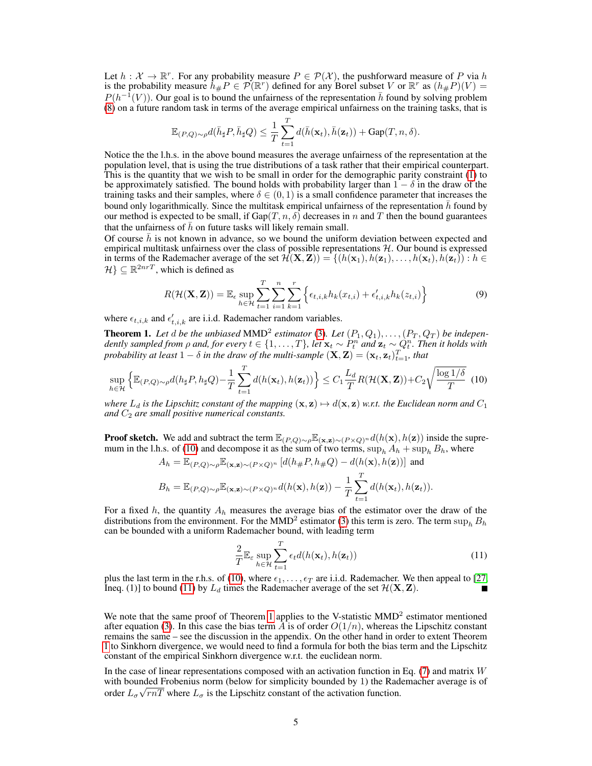Let  $h: \mathcal{X} \to \mathbb{R}^r$ . For any probability measure  $P \in \mathcal{P}(\mathcal{X})$ , the pushforward measure of P via h is the probability measure  $h_{\#}P \in \mathcal{P}(\mathbb{R}^r)$  defined for any Borel subset V or  $\mathbb{R}^r$  as  $(h_{\#}P)(V) =$  $P(h^{-1}(V))$ . Our goal is to bound the unfairness of the representation  $\bar{h}$  found by solving problem [\(8\)](#page-3-2) on a future random task in terms of the average empirical unfairness on the training tasks, that is

$$
\mathbb{E}_{(P,Q)\sim\rho}d(\bar{h}_{\sharp}P,\bar{h}_{\sharp}Q)\leq \frac{1}{T}\sum_{t=1}^Td(\bar{h}(\mathbf{x}_t),\bar{h}(\mathbf{z}_t))+\mathrm{Gap}(T,n,\delta).
$$

Notice the the l.h.s. in the above bound measures the average unfairness of the representation at the population level, that is using the true distributions of a task rather that their empirical counterpart. This is the quantity that we wish to be small in order for the demographic parity constraint  $(1)$  to be approximately satisfied. The bound holds with probability larger than  $1 - \delta$  in the draw of the training tasks and their samples, where  $\delta \in (0,1)$  is a small confidence parameter that increases the bound only logarithmically. Since the multitask empirical unfairness of the representation  $\bar{h}$  found by our method is expected to be small, if  $Gap(T, n, \delta)$  decreases in n and T then the bound guarantees that the unfairness of  $\bar{h}$  on future tasks will likely remain small.

Of course  $\bar{h}$  is not known in advance, so we bound the uniform deviation between expected and empirical multitask unfairness over the class of possible representations  $H$ . Our bound is expressed in terms of the Rademacher average of the set  $\mathcal{H}(\mathbf{X}, \mathbf{Z}) = \{(h(\mathbf{x}_1), h(\mathbf{z}_1), \dots, h(\mathbf{x}_t), h(\mathbf{z}_t)) : h \in$  $\mathcal{H} \} \subseteq \mathbb{R}^{2n rT}$ , which is defined as

$$
R(\mathcal{H}(\mathbf{X}, \mathbf{Z})) = \mathbb{E}_{\epsilon} \sup_{h \in \mathcal{H}} \sum_{t=1}^{T} \sum_{i=1}^{n} \sum_{k=1}^{r} \left\{ \epsilon_{t,i,k} h_k(x_{t,i}) + \epsilon'_{t,i,k} h_k(z_{t,i}) \right\}
$$
(9)

where  $\epsilon_{t,i,k}$  and  $\epsilon'_{t,i,k}$  are i.i.d. Rademacher random variables.

<span id="page-4-2"></span>**Theorem 1.** Let  $d$  be the unbiased MMD<sup>2</sup> estimator [\(3\)](#page-2-5). Let  $(P_1, Q_1), \ldots, (P_T, Q_T)$  be independently sampled from  $\rho$  and, for every  $t \in \{1,\ldots,T\}$ , let  $\mathbf{x}_t \sim P_t^n$  and  $\mathbf{z}_t \sim Q_t^n$ . Then it holds with *probability at least*  $1 - \delta$  *in the draw of the multi-sample*  $(\mathbf{X}, \mathbf{Z}) = (\mathbf{x}_t, \mathbf{z}_t)_{t=1}^T$ *, that* 

$$
\sup_{h\in\mathcal{H}}\left\{\mathbb{E}_{(P,Q)\sim\rho}d(h_{\sharp}P,h_{\sharp}Q)-\frac{1}{T}\sum_{t=1}^Td(h(\mathbf{x}_t),h(\mathbf{z}_t))\right\}\leq C_1\frac{L_d}{T}R(\mathcal{H}(\mathbf{X},\mathbf{Z}))+C_2\sqrt{\frac{\log 1/\delta}{T}}\tag{10}
$$

*where*  $L_d$  *is the Lipschitz constant of the mapping*  $(\mathbf{x}, \mathbf{z}) \mapsto d(\mathbf{x}, \mathbf{z})$  *w.r.t. the Euclidean norm and*  $C_1$ and  $C_2$  are small positive numerical constants.

**Proof sketch.** We add and subtract the term  $\mathbb{E}_{(P,Q)\sim\rho}\mathbb{E}_{(\mathbf{x},\mathbf{z})\sim(P\times Q)^n}d(h(\mathbf{x}),h(\mathbf{z}))$  inside the supre-mum in the l.h.s. of [\(10\)](#page-4-0) and decompose it as the sum of two terms,  $\sup_h A_h + \sup_h B_h$ , where  $\begin{pmatrix} 1 & \mathbf{D} & \mathbf{D} & \mathbf{D} & \mathbf{D} & \mathbf{D} & \mathbf{D} & \mathbf{D} & \mathbf{D} & \mathbf{D} & \mathbf{D} & \mathbf{D} & \mathbf{D} & \mathbf{D} & \mathbf{D} & \mathbf{D} & \mathbf{D} & \mathbf{D} & \mathbf{D} & \mathbf{D} & \mathbf{D} & \mathbf{D} & \mathbf{D} & \mathbf{D} & \mathbf{D} & \mathbf{D} & \mathbf{D} & \mathbf{D} & \mathbf{D} & \mathbf{D} & \mathbf{D} & \$ 

$$
A_h = \mathbb{E}_{(P,Q)\sim\rho} \mathbb{E}_{(\mathbf{x},\mathbf{z})\sim(P\times Q)^n} \left[ d(h_\#P, h_\#Q) - d(h(\mathbf{x}), h(\mathbf{z})) \right] \text{ and}
$$
  
\n
$$
B_h = \mathbb{E}_{(P,Q)\sim\rho} \mathbb{E}_{(\mathbf{x},\mathbf{z})\sim(P\times Q)^n} d(h(\mathbf{x}), h(\mathbf{z})) - \frac{1}{T} \sum_{t=1}^T d(h(\mathbf{x}_t), h(\mathbf{z}_t)).
$$

For a fixed h, the quantity  $A_h$  measures the average bias of the estimator over the draw of the distributions from the environment. For the MMD<sup>2</sup> estimator [\(3\)](#page-2-5) this term is zero. The term  $\sup_h B_h$ can be bounded with a uniform Rademacher bound, with leading term

<span id="page-4-1"></span><span id="page-4-0"></span>
$$
\frac{2}{T} \mathbb{E}_{\varepsilon} \sup_{h \in \mathcal{H}} \sum_{t=1}^{T} \epsilon_t d(h(\mathbf{x}_t), h(\mathbf{z}_t))
$$
\n(11)

plus the last term in the r.h.s. of [\(10\)](#page-4-0), where  $\epsilon_1, \ldots, \epsilon_T$  are i.i.d. Rademacher. We then appeal to [\[27,](#page-9-22) Ineq. (1)] to bound [\(11\)](#page-4-1) by  $L_d$  times the Rademacher average of the set  $\mathcal{H}(\mathbf{X}, \mathbf{Z})$ .

We note that the same proof of Theorem [1](#page-4-2) applies to the V-statistic  $MMD<sup>2</sup>$  estimator mentioned after equation [\(3\)](#page-2-5). In this case the bias term  $\tilde{A}$  is of order  $O(1/n)$ , whereas the Lipschitz constant remains the same – see the discussion in the appendix. On the other hand in order to extent Theorem [1](#page-4-2) to Sinkhorn divergence, we would need to find a formula for both the bias term and the Lipschitz constant of the empirical Sinkhorn divergence w.r.t. the euclidean norm.

In the case of linear representations composed with an activation function in Eq. [\(7\)](#page-3-4) and matrix  $W$ with bounded Frobenius norm (below for simplicity bounded by 1) the Rademacher average is of order  $L_{\sigma} \sqrt{rnT}$  where  $L_{\sigma}$  is the Lipschitz constant of the activation function.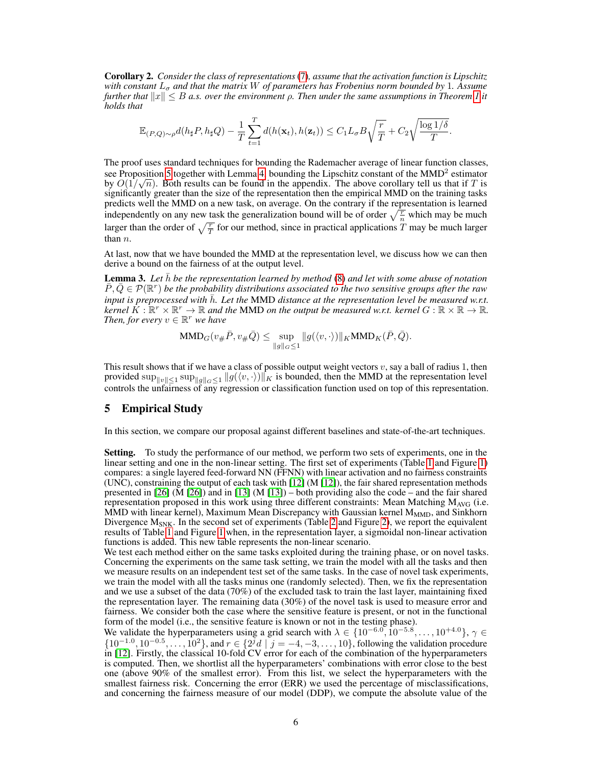Corollary 2. *Consider the class of representations* [\(7\)](#page-3-4)*, assume that the activation function is Lipschitz with constant*  $L_{\sigma}$  *and that the matrix* W *of parameters has Frobenius norm bounded by* 1. Assume *further that*  $||x|| \leq B$  *a.s. over the environment*  $\rho$ . Then under the same assumptions in Theorem [1](#page-4-2) it *holds that*

$$
\mathbb{E}_{(P,Q)\sim\rho}d(h_{\sharp}P,h_{\sharp}Q)-\frac{1}{T}\sum_{t=1}^Td(h(\mathbf{x}_t),h(\mathbf{z}_t))\leq C_1L_{\sigma}B\sqrt{\frac{r}{T}}+C_2\sqrt{\frac{\log 1/\delta}{T}}.
$$

The proof uses standard techniques for bounding the Rademacher average of linear function classes, see Proposition [5](#page--1-0) together with Lemma [4,](#page--1-1) bounding the Lipschitz constant of the MMD<sup>2</sup> estimator by  $O(1/\sqrt{n})$ . Both results can be found in the appendix. The above corollary tell us that if T is significantly greater than the size of the representation then the empirical MMD on the training tasks predicts well the MMD on a new task, on average. On the contrary if the representation is learned independently on any new task the generalization bound will be of order  $\sqrt{\frac{r}{n}}$  which may be much larger than the order of  $\sqrt{\frac{T}{T}}$  for our method, since in practical applications T may be much larger than  $n$ .

At last, now that we have bounded the MMD at the representation level, we discuss how we can then derive a bound on the fairness of at the output level.

**Lemma 3.** Let *h* be the representation learned by method [\(8\)](#page-3-2) and let with some abuse of notation  $\overline{P}, \overline{Q} \in \mathcal{P}(\mathbb{R}^r)$  *be the probability distributions associated to the two sensitive groups after the raw input is preprocessed with*  $\bar{h}$ *. Let the MMD distance at the representation level be measured w.r.t. kernel*  $\overline{K}: \mathbb{R}^r \times \mathbb{R}^r \to \mathbb{R}$  and the MMD on the output be measured w.r.t. kernel  $G: \mathbb{R} \times \mathbb{R} \to \mathbb{R}$ . *Then, for every*  $v \in \mathbb{R}^r$  *we have* 

$$
\text{MMD}_G(v_{\#}\bar{P}, v_{\#}\bar{Q}) \leq \sup_{\|g\|_G \leq 1} \|g(\langle v, \cdot \rangle)\|_K \text{MMD}_K(\bar{P}, \bar{Q}).
$$

This result shows that if we have a class of possible output weight vectors  $v$ , say a ball of radius 1, then provided  $\sup_{\|v\|\leq 1} \sup_{\|g\|_G\leq 1} \|g(\langle v, \cdot \rangle)\|_K$  is bounded, then the MMD at the representation level controls the unfairness of any regression or classification function used on top of this representation.

### <span id="page-5-0"></span>5 Empirical Study

In this section, we compare our proposal against different baselines and state-of-the-art techniques.

Setting. To study the performance of our method, we perform two sets of experiments, one in the linear setting and one in the non-linear setting. The first set of experiments (Table [1](#page-6-0) and Figure [1\)](#page-6-1) compares: a single layered feed-forward NN (FFNN) with linear activation and no fairness constraints (UNC), constraining the output of each task with [\[12\]](#page-8-3) (M [\[12\]](#page-8-3)), the fair shared representation methods presented in [\[26\]](#page-9-11) (M [\[26\]](#page-9-11)) and in [\[13\]](#page-8-9) (M [\[13\]](#page-8-9)) – both providing also the code – and the fair shared representation proposed in this work using three different constraints: Mean Matching  $M_{\text{AVG}}$  (i.e. MMD with linear kernel), Maximum Mean Discrepancy with Gaussian kernel  $M_{MMD}$ , and Sinkhorn Divergence  $M_{SNK}$ . In the second set of experiments (Table [2](#page-7-1) and Figure [2\)](#page-7-2), we report the equivalent results of Table [1](#page-6-0) and Figure [1](#page-6-1) when, in the representation layer, a sigmoidal non-linear activation functions is added. This new table represents the non-linear scenario.

We test each method either on the same tasks exploited during the training phase, or on novel tasks. Concerning the experiments on the same task setting, we train the model with all the tasks and then we measure results on an independent test set of the same tasks. In the case of novel task experiments, we train the model with all the tasks minus one (randomly selected). Then, we fix the representation and we use a subset of the data (70%) of the excluded task to train the last layer, maintaining fixed the representation layer. The remaining data (30%) of the novel task is used to measure error and fairness. We consider both the case where the sensitive feature is present, or not in the functional form of the model (i.e., the sensitive feature is known or not in the testing phase).

We validate the hyperparameters using a grid search with  $\lambda \in \{10^{-6.0}, 10^{-5.8}, \dots, 10^{+4.0}\}, \gamma \in$  $\{10^{-1.0}, 10^{-0.5}, \ldots, 10^{2}\}$ , and  $r \in \{2^{j}d \mid j = -4, -3, \ldots, 10\}$ , following the validation procedure in [\[12\]](#page-8-3). Firstly, the classical 10-fold CV error for each of the combination of the hyperparameters is computed. Then, we shortlist all the hyperparameters' combinations with error close to the best one (above 90% of the smallest error). From this list, we select the hyperparameters with the smallest fairness risk. Concerning the error (ERR) we used the percentage of misclassifications, and concerning the fairness measure of our model (DDP), we compute the absolute value of the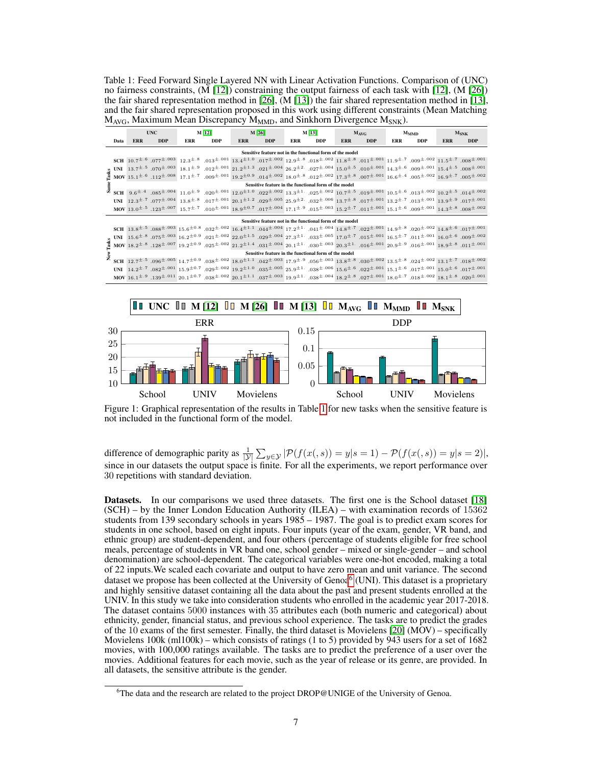<span id="page-6-0"></span>Table 1: Feed Forward Single Layered NN with Linear Activation Functions. Comparison of (UNC) no fairness constraints, (M [\[12\]](#page-8-3)) constraining the output fairness of each task with [\[12\]](#page-8-3), (M [\[26\]](#page-9-11)) the fair shared representation method in [\[26\]](#page-9-11), (M [\[13\]](#page-8-9)) the fair shared representation method in [\[13\]](#page-8-9), and the fair shared representation proposed in this work using different constraints (Mean Matching  $M_{AVG}$ , Maximum Mean Discrepancy  $M_{MMD}$ , and Sinkhorn Divergence  $M_{SNK}$ ).

|                                                           |      | <b>UNC</b>                                                                                                                                                                                                                                                                                                                                                                                                                                                                                                                                                                                 |            | M [12] |            | M [26]     |            | M [13] |            | $M_{AVG}$  |            | $M_{MMD}$  |                                                                                                                                                                                                                                                                                                                                                             | $M_{SNK}$  |                                                                                                                                                                                                                                                                                                                                     |
|-----------------------------------------------------------|------|--------------------------------------------------------------------------------------------------------------------------------------------------------------------------------------------------------------------------------------------------------------------------------------------------------------------------------------------------------------------------------------------------------------------------------------------------------------------------------------------------------------------------------------------------------------------------------------------|------------|--------|------------|------------|------------|--------|------------|------------|------------|------------|-------------------------------------------------------------------------------------------------------------------------------------------------------------------------------------------------------------------------------------------------------------------------------------------------------------------------------------------------------------|------------|-------------------------------------------------------------------------------------------------------------------------------------------------------------------------------------------------------------------------------------------------------------------------------------------------------------------------------------|
|                                                           | Data | <b>ERR</b>                                                                                                                                                                                                                                                                                                                                                                                                                                                                                                                                                                                 | <b>DDP</b> | ERR    | <b>DDP</b> | <b>ERR</b> | <b>DDP</b> | ERR    | <b>DDP</b> | <b>ERR</b> | <b>DDP</b> | <b>ERR</b> | <b>DDP</b>                                                                                                                                                                                                                                                                                                                                                  | <b>ERR</b> | <b>DDP</b>                                                                                                                                                                                                                                                                                                                          |
| Sensitive feature not in the functional form of the model |      |                                                                                                                                                                                                                                                                                                                                                                                                                                                                                                                                                                                            |            |        |            |            |            |        |            |            |            |            |                                                                                                                                                                                                                                                                                                                                                             |            |                                                                                                                                                                                                                                                                                                                                     |
|                                                           |      |                                                                                                                                                                                                                                                                                                                                                                                                                                                                                                                                                                                            |            |        |            |            |            |        |            |            |            |            | $SCH = 10.7^{\pm .02} \cdot 0.07^{\pm .003} \cdot 12.3^{\pm .8} \cdot 0.013^{\pm .001} \cdot 13.4^{\pm 1.0} \cdot 0.017^{\pm .002} \cdot 12.9^{\pm .8} \cdot 0.018^{\pm .002} \cdot 11.8^{\pm .8} \cdot 0.011^{\pm .001} \cdot 11.9^{\pm .7} \cdot 0.09^{\pm .02} \cdot 11.5^{\pm .7} \cdot 0.008^{\pm .001} \cdot 0.011^{\pm .001}$                        |            |                                                                                                                                                                                                                                                                                                                                     |
|                                                           |      |                                                                                                                                                                                                                                                                                                                                                                                                                                                                                                                                                                                            |            |        |            |            |            |        |            |            |            |            | <b>UNI</b> $13.7^{\pm .5}$ .070 <sup>±</sup> .003 $18.1^{\pm .0}$ .012 <sup>±</sup> .001 $21.2^{\pm .01}$ 21.2 <sup>± 0.04</sup> $26.2^{\pm 2}$ .02 <sup>±</sup> .004 $26.2^{\pm 2}$ .02 <sup>±</sup> .004 $15.0^{\pm .05}$ .010 <sup>± .001</sup> $14.3^{\pm .0}$ .009 <sup>± .001</sup> $15.4^{\pm .5}$ .008 <sup>± .001</sup>                            |            |                                                                                                                                                                                                                                                                                                                                     |
|                                                           |      |                                                                                                                                                                                                                                                                                                                                                                                                                                                                                                                                                                                            |            |        |            |            |            |        |            |            |            |            |                                                                                                                                                                                                                                                                                                                                                             |            |                                                                                                                                                                                                                                                                                                                                     |
|                                                           |      | $\frac{3}{24}$ MOV 15.1 <sup><math>\pm</math>.6</sup> .112 <sup><math>\pm</math>.008</sup> 17.1 <sup><math>\pm</math>.7</sup> .009 <sup><math>\pm</math>.001</sup> 19.2 <sup><math>\pm</math>00. 14<sup><math>\pm</math>.002</sup> 18.0<sup><math>\pm</math></sup>.8.0<sup>2</sup> .02<sup><math>\pm</math></sup>.03<sup>1</sup> .00<sup>2</sup> .00<sup>2</sup> 16.0<sup><math>\pm</math></sup>.00<sup>2</sup> .003<sup><math>\pm</math>.002</sup> .005<sup><math>\pm</math>.002</sup> .005<sup><math>\pm</math>.002</sup></sup><br>Sensitive feature in the functional form of the model |            |        |            |            |            |        |            |            |            |            |                                                                                                                                                                                                                                                                                                                                                             |            |                                                                                                                                                                                                                                                                                                                                     |
|                                                           |      |                                                                                                                                                                                                                                                                                                                                                                                                                                                                                                                                                                                            |            |        |            |            |            |        |            |            |            |            |                                                                                                                                                                                                                                                                                                                                                             |            | $SCH = 9.6^{\pm .04} \cdot 0.085^{\pm .004} \cdot 11.0^{\pm .9} \cdot 0.020^{\pm .011} \cdot 12.0^{\pm 1.0} \cdot 0.022^{\pm .002} \cdot 13.3^{\pm 1.0} \cdot 0.025^{\pm .021} \cdot 10.7^{\pm .5} \cdot 0.019^{\pm .001} \cdot 10.5^{\pm .6} \cdot 0.013^{\pm .002} \cdot 10.2^{\pm .5} \cdot 0.14^{\pm .002} \cdot 10.5^{\pm .0}$ |
|                                                           |      |                                                                                                                                                                                                                                                                                                                                                                                                                                                                                                                                                                                            |            |        |            |            |            |        |            |            |            |            | $\text{UNI} \quad 12.3^{\pm .7} \quad .077^{\pm .004} \quad 13.8^{\pm .8} \quad .017^{\pm .001} \quad 20.1^{\pm 1.2} \quad .029^{\pm .005} \quad 25.9^{\pm 2} \quad .032^{\pm .006} \quad 13.7^{\pm .8} \quad .017^{\pm .001} \quad 13.2^{\pm .7} \quad .013^{\pm .001} \quad 13.9^{\pm .9} \quad .017^{\pm .001} \quad .017^{\pm .001} \quad .017^{\pm$    |            |                                                                                                                                                                                                                                                                                                                                     |
|                                                           |      |                                                                                                                                                                                                                                                                                                                                                                                                                                                                                                                                                                                            |            |        |            |            |            |        |            |            |            |            | $\text{MOV } 13.0^{\pm .5}$ , $123^{\pm .007}$ , $15.7^{\pm .7}$ , $010^{\pm .01}$ , $18.9^{\pm 0.7}$ , $017^{\pm .004}$ , $17.1^{\pm .9}$ , $015^{\pm .021}$ , $15.2^{\pm .7}$ , $011^{\pm .001}$ , $15.1^{\pm .6}$ , $0.09^{\pm .001}$ , $14.3^{\pm .8}$ , $008^{\pm .002}$                                                                               |            |                                                                                                                                                                                                                                                                                                                                     |
| Sensitive feature not in the functional form of the model |      |                                                                                                                                                                                                                                                                                                                                                                                                                                                                                                                                                                                            |            |        |            |            |            |        |            |            |            |            |                                                                                                                                                                                                                                                                                                                                                             |            |                                                                                                                                                                                                                                                                                                                                     |
|                                                           |      |                                                                                                                                                                                                                                                                                                                                                                                                                                                                                                                                                                                            |            |        |            |            |            |        |            |            |            |            |                                                                                                                                                                                                                                                                                                                                                             |            | $SCH~~13.8^{\pm .5}~~.088^{\pm .003}~~15.6^{\pm 0.8}~~.032^{\pm .002}~~16.4^{\pm 1.1}~~.044^{\pm .004}~~17.2^{\pm 1}~~.041^{\pm .004}~~14.8^{\pm .7}~~.022^{\pm .011}~~14.9^{\pm .8}~~.020^{\pm .020}~~14.8^{\pm .6}~~.017^{\pm .001}~~.011^{\pm .002}~~.011^{\pm .003}~~.011^{\pm .004}~~.011^{\$                                  |
|                                                           |      |                                                                                                                                                                                                                                                                                                                                                                                                                                                                                                                                                                                            |            |        |            |            |            |        |            |            |            |            | $15.6^{\pm .6} \cdot .075^{\pm .003} \cdot 16.2^{\pm .09} \cdot .021^{\pm .002} \cdot 22.0^{\pm 1.5} \cdot .029^{\pm .004} \cdot 27.3^{\pm 1} \cdot .033^{\pm .005} \cdot 17.0^{\pm .7} \cdot .015^{\pm .001} \cdot 16.5^{\pm .7} \cdot .011^{\pm .001} \cdot 16.0^{\pm .6} \cdot .009^{\pm .002} \cdot 16.0^{\pm .003} \cdot 16.0^{\pm .004} \$            |            |                                                                                                                                                                                                                                                                                                                                     |
|                                                           |      |                                                                                                                                                                                                                                                                                                                                                                                                                                                                                                                                                                                            |            |        |            |            |            |        |            |            |            |            | ${\bf MOV}~18.2^{\pm .8}~.128^{\pm .007}~19.2^{\pm 0.9}~.025^{\pm .002}~21.2^{\pm 1.4}~.031^{\pm .0.04}~20.1^{\pm 1.}~.030^{\pm .003}~20.3^{\pm 1.}~.104^{\pm .001}~20.9^{\pm .0}~.016^{\pm .001}~18.9^{\pm .8}~.011^{\pm .001}~.016^{\pm .001}~.016^{\pm .002}~.017^{\pm .003}~$                                                                           |            |                                                                                                                                                                                                                                                                                                                                     |
|                                                           |      | Sensitive feature in the functional form of the model                                                                                                                                                                                                                                                                                                                                                                                                                                                                                                                                      |            |        |            |            |            |        |            |            |            |            |                                                                                                                                                                                                                                                                                                                                                             |            |                                                                                                                                                                                                                                                                                                                                     |
|                                                           |      |                                                                                                                                                                                                                                                                                                                                                                                                                                                                                                                                                                                            |            |        |            |            |            |        |            |            |            |            | $SCH$ $12.7^{\pm .5}$ $.096^{\pm .005}$ $14.7^{\pm 0.9}$ $.038^{\pm .002}$ $18.0^{\pm 1.1}$ $.042^{\pm .003}$ $17.9^{\pm .9}$ $.056^{\pm .003}$ $13.8^{\pm .8}$ $.030^{\pm .002}$ $13.5^{\pm .8}$ $.024^{\pm .002}$ $13.1^{\pm .7}$ $.018^{\pm .002}$                                                                                                       |            |                                                                                                                                                                                                                                                                                                                                     |
|                                                           |      |                                                                                                                                                                                                                                                                                                                                                                                                                                                                                                                                                                                            |            |        |            |            |            |        |            |            |            |            | $\text{UNI} \quad 14.2^{\pm}.7 \quad .082^{\pm}.001 \quad 15.9^{\pm 0.7}, \quad 029^{\pm}.02 \quad 19.2^{\pm 1.0}, \quad 035^{\pm}.005 \quad 25.9^{\pm 1.0}, \quad 038^{\pm}.006 \quad 15.6^{\pm}.6 \quad .022^{\pm}.001 \quad 15.1^{\pm}.6 \quad .017^{\pm}.001 \quad 15.0^{\pm}.6 \quad .017^{\pm}.001 \quad 15.0^{\pm}.6 \quad .017^{\pm}.001 \quad 15.$ |            |                                                                                                                                                                                                                                                                                                                                     |
|                                                           |      |                                                                                                                                                                                                                                                                                                                                                                                                                                                                                                                                                                                            |            |        |            |            |            |        |            |            |            |            | ${\bf MOV} \; \; 16.1^{\pm .9} \; \; .139^{\pm .011} \; \; 20.1^{\pm 0.7} \; \; .038^{\pm .002} \; \; 20.1^{\pm 1.1} \; \; .037^{\pm .003} \; \; 19.9^{\pm 1.03} \; \; .038^{\pm .004} \; \; 18.2^{\pm .8} \; \; .027^{\pm .001} \; \; 18.0^{\pm .7} \; \; .018^{\pm .020} \; \; 18.1^{\pm .8} \; \; .02$                                                   |            |                                                                                                                                                                                                                                                                                                                                     |

<span id="page-6-1"></span>

Figure 1: Graphical representation of the results in Table [1](#page-6-0) for new tasks when the sensitive feature is not included in the functional form of the model.

difference of demographic parity as  $\frac{1}{|\mathcal{Y}|} \sum_{y \in \mathcal{Y}} |\mathcal{P}(f(x(,s)) = y|s = 1) - \mathcal{P}(f(x(,s)) = y|s = 2)|$ , since in our datasets the output space is finite. For all the experiments, we report performance over 30 repetitions with standard deviation.

Datasets. In our comparisons we used three datasets. The first one is the School dataset [\[18\]](#page-9-23) (SCH) – by the Inner London Education Authority (ILEA) – with examination records of 15362 students from 139 secondary schools in years 1985 – 1987. The goal is to predict exam scores for students in one school, based on eight inputs. Four inputs (year of the exam, gender, VR band, and ethnic group) are student-dependent, and four others (percentage of students eligible for free school meals, percentage of students in VR band one, school gender – mixed or single-gender – and school denomination) are school-dependent. The categorical variables were one-hot encoded, making a total of 22 inputs.We scaled each covariate and output to have zero mean and unit variance. The second dataset we propose has been collected at the University of Genoa<sup>[6](#page-6-2)</sup> (UNI). This dataset is a proprietary and highly sensitive dataset containing all the data about the past and present students enrolled at the UNIV. In this study we take into consideration students who enrolled in the academic year 2017-2018. The dataset contains 5000 instances with 35 attributes each (both numeric and categorical) about ethnicity, gender, financial status, and previous school experience. The tasks are to predict the grades of the 10 exams of the first semester. Finally, the third dataset is Movielens [\[20\]](#page-9-24) (MOV) – specifically Movielens 100k (ml100k) – which consists of ratings (1 to 5) provided by 943 users for a set of 1682 movies, with 100,000 ratings available. The tasks are to predict the preference of a user over the movies. Additional features for each movie, such as the year of release or its genre, are provided. In all datasets, the sensitive attribute is the gender.

<span id="page-6-2"></span><sup>&</sup>lt;sup>6</sup>The data and the research are related to the project DROP@UNIGE of the University of Genoa.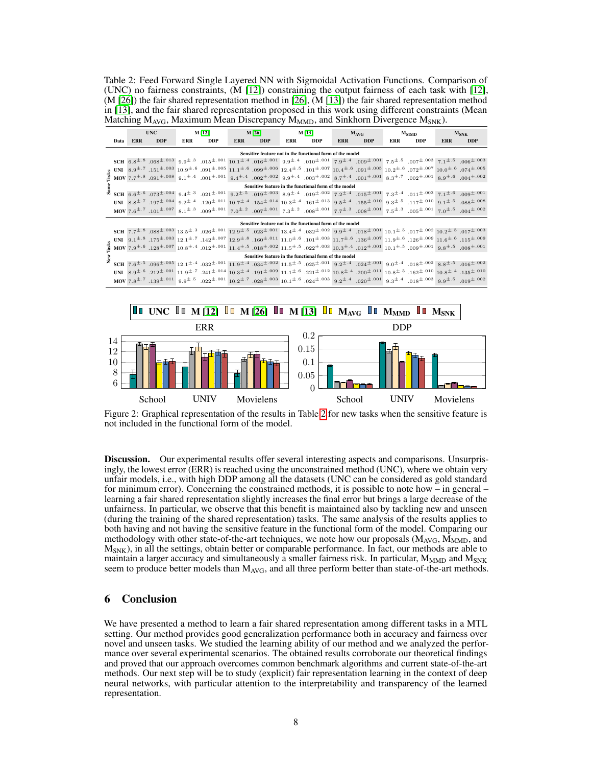<span id="page-7-1"></span>Table 2: Feed Forward Single Layered NN with Sigmoidal Activation Functions. Comparison of (UNC) no fairness constraints, (M [\[12\]](#page-8-3)) constraining the output fairness of each task with [\[12\]](#page-8-3), (M [\[26\]](#page-9-11)) the fair shared representation method in [\[26\]](#page-9-11), (M [\[13\]](#page-8-9)) the fair shared representation method in [\[13\]](#page-8-9), and the fair shared representation proposed in this work using different constraints (Mean Matching  $M_{AVG}$ , Maximum Mean Discrepancy  $M_{MMD}$ , and Sinkhorn Divergence  $M_{SNK}$ ).

|                                                           |                                                       | <b>UNC</b>                                                                                                                                                                                                                                                                                                                                                         |            | M [12]     |            | M [26] |         | M[13]      |            | $M_{AVG}$  |            | $M_{MMD}$  |                                                                                                                                                                                                                                                                                                                                                                                                                                                                                                                                                                                                                                                                                             | $M_{SNK}$  |            |
|-----------------------------------------------------------|-------------------------------------------------------|--------------------------------------------------------------------------------------------------------------------------------------------------------------------------------------------------------------------------------------------------------------------------------------------------------------------------------------------------------------------|------------|------------|------------|--------|---------|------------|------------|------------|------------|------------|---------------------------------------------------------------------------------------------------------------------------------------------------------------------------------------------------------------------------------------------------------------------------------------------------------------------------------------------------------------------------------------------------------------------------------------------------------------------------------------------------------------------------------------------------------------------------------------------------------------------------------------------------------------------------------------------|------------|------------|
|                                                           | Data                                                  | <b>ERR</b>                                                                                                                                                                                                                                                                                                                                                         | <b>DDP</b> | <b>ERR</b> | <b>DDP</b> |        | ERR DDP | <b>ERR</b> | <b>DDP</b> | <b>ERR</b> | <b>DDP</b> | <b>ERR</b> | <b>DDP</b>                                                                                                                                                                                                                                                                                                                                                                                                                                                                                                                                                                                                                                                                                  | <b>ERR</b> | <b>DDP</b> |
| Sensitive feature not in the functional form of the model |                                                       |                                                                                                                                                                                                                                                                                                                                                                    |            |            |            |        |         |            |            |            |            |            |                                                                                                                                                                                                                                                                                                                                                                                                                                                                                                                                                                                                                                                                                             |            |            |
|                                                           |                                                       |                                                                                                                                                                                                                                                                                                                                                                    |            |            |            |        |         |            |            |            |            |            | SCH 6.8 <sup>±.8</sup> .068 <sup>±.001</sup> 3.9 <sup>±.6</sup> .007 <sup>±.001</sup> 3.9 <sup>±.6</sup> .016 <sup>±.001</sup> 9.9 <sup>±.4</sup> .016 <sup>±.001</sup> 0.04 <sup>±.001</sup> 0.9 <sup>±</sup> . <sup>001</sup> $z$ .5 <sup>±.5</sup> .007 <sup>±.003</sup> 7.1 <sup>±.5</sup> .006 <sup>±.003</sup>                                                                                                                                                                                                                                                                                                                                                                        |            |            |
|                                                           |                                                       |                                                                                                                                                                                                                                                                                                                                                                    |            |            |            |        |         |            |            |            |            |            | <b>g</b> UNI $8.9^{\pm .7}$ $1.51^{\pm .003}$ $10.9^{\pm .06}$ $0.91^{\pm .016}$ $11.1^{\pm .6}$ $0.99^{\pm .006}$ $12.4^{\pm .6}$ $10.4^{\pm .6}$ $10.7^{\pm .007}$ $10.4^{\pm .6}$ $0.02^{\pm .005}$ $0.02^{\pm .007}$ $10.0^{\pm .005}$ $0.074^{\pm .005}$                                                                                                                                                                                                                                                                                                                                                                                                                               |            |            |
|                                                           |                                                       |                                                                                                                                                                                                                                                                                                                                                                    |            |            |            |        |         |            |            |            |            |            | <b>MOV</b> 7.7 <sup><math>\pm</math></sup> 8.91 <sup><math>\pm</math></sup> 0.00 <sup><math>\pm</math></sup> 9.00 <sup><math>\pm</math></sup> 0.00 <sup><math>\pm</math></sup> 1.00 <sup><math>\pm</math></sup> 0.01 <sup><math>\pm</math></sup> 0.01 <sup><math>\pm</math></sup> 0.00 <sup><math>\pm</math></sup> 0.00 <sup><math>\pm</math></sup> 0.00 <sup><math>\pm</math></sup> 0.00 <sup><math>\pm</math></sup> 0.00 <sup><math>\pm</math></sup> 0.00 <sup><math>\pm</math></sup> 0.00 <sup><math>\pm</math></sup> 0.00 <sup><math>\pm</math></sup> 0.00 <sup><math>\pm</math></sup> 0.00 <sup><math>\pm</math></sup> 0.00 <sup><math>\pm</math></sup> 0.00 <sup><math>\</math></sup> |            |            |
|                                                           |                                                       | Sensitive feature in the functional form of the model<br><b>SCH</b> 6.6 <sup>±,6</sup> .073 <sup>±,004</sup> 9.4 <sup>±,8</sup> .021 <sup>±,001</sup> 9.2 <sup>±,5</sup> .021 <sup>±,003</sup> 8.9 <sup>±,4</sup> .019 <sup>±,002</sup> 7.2 <sup>±,4</sup> .015 <sup>±,001</sup> 7.3 <sup>±,4</sup> .011 <sup>±,003</sup> 7.1 <sup>±,6</sup> .009 <sup>±,001</sup> |            |            |            |        |         |            |            |            |            |            |                                                                                                                                                                                                                                                                                                                                                                                                                                                                                                                                                                                                                                                                                             |            |            |
| s.                                                        |                                                       |                                                                                                                                                                                                                                                                                                                                                                    |            |            |            |        |         |            |            |            |            |            |                                                                                                                                                                                                                                                                                                                                                                                                                                                                                                                                                                                                                                                                                             |            |            |
|                                                           |                                                       |                                                                                                                                                                                                                                                                                                                                                                    |            |            |            |        |         |            |            |            |            |            | $\textbf{UNI} \quad 8.8^{\pm .7} \text{ .197}^{\pm .004} \text{ .9.2}^{\pm .04} \text{ .120}^{\pm .011} \text{ .011} \text{ .10.7}^{\pm .4} \text{ .154}^{\pm .014} \text{ .10.3}^{\pm .4} \text{ .161}^{\pm .013} \text{ .9.5}^{\pm .2} \text{ .155}^{\pm .010} \text{ .013}^{\pm .011} \text{ .014}^{\pm .010} \text{ .117}^{\pm .010} \text{ .01$                                                                                                                                                                                                                                                                                                                                        |            |            |
|                                                           |                                                       |                                                                                                                                                                                                                                                                                                                                                                    |            |            |            |        |         |            |            |            |            |            | ${\bf MOV} \ 7.6^{\pm .7} \  \, .101^{\pm .007} \  \, 8.1^{\pm .3} \  \, .009^{\pm .001} \  \, 7.0^{\pm .2} \  \, .07^{\pm .01} \  \, 7.3^{\pm .2} \  \, .008^{\pm .001} \  \, 7.7^{\pm .3} \  \, .008^{\pm .001} \  \, 7.5^{\pm .3} \  \, .005^{\pm .001} \  \, 7.5^{\pm .7} \  \, .004^{\pm .002} \  \, .004^{\$                                                                                                                                                                                                                                                                                                                                                                          |            |            |
| Sensitive feature not in the functional form of the model |                                                       |                                                                                                                                                                                                                                                                                                                                                                    |            |            |            |        |         |            |            |            |            |            |                                                                                                                                                                                                                                                                                                                                                                                                                                                                                                                                                                                                                                                                                             |            |            |
|                                                           |                                                       |                                                                                                                                                                                                                                                                                                                                                                    |            |            |            |        |         |            |            |            |            |            | SCH $7.7^{\pm.8}$ $.088^{\pm.003}$ $13.5^{\pm.3}$ $.026^{\pm.001}$ $12.9^{\pm.5}$ $.023^{\pm.001}$ $13.4^{\pm.4}$ $.032^{\pm.002}$ $.9.9^{\pm.4}$ $.018^{\pm.001}$ $10.1^{\pm.5}$ $.017^{\pm.002}$ $10.2^{\pm.5}$ $.017^{\pm.003}$                                                                                                                                                                                                                                                                                                                                                                                                                                                          |            |            |
|                                                           |                                                       |                                                                                                                                                                                                                                                                                                                                                                    |            |            |            |        |         |            |            |            |            |            | $\bullet \text{ UNI } 9.1^{\pm .8} \cdot .175^{\pm .003} \cdot 12.1^{\pm .7} \cdot .142^{\pm .007} \cdot 12.9^{\pm .8} \cdot .160^{\pm .011} \cdot 11.0^{\pm .6} \cdot .101^{\pm .003} \cdot 11.7^{\pm .6} \cdot .136^{\pm .007} \cdot 11.9^{\pm .6} \cdot .126^{\pm .009} \cdot 11.6^{\pm .6} \cdot .101^{\pm .009} \cdot 11.6^{\pm .009} \cdot 11.6^{\pm .$                                                                                                                                                                                                                                                                                                                               |            |            |
| ľask                                                      |                                                       |                                                                                                                                                                                                                                                                                                                                                                    |            |            |            |        |         |            |            |            |            |            | $1.41 \pm 0.001$ $7.9 \pm 0.01$ $9.8 \pm 0.01$ $1.1.4 \pm 0.01$ $1.1.4 \pm 0.01$ $1.1.4 \pm 0.02$ $1.1.5 \pm 0.03$ $1.1.5 \pm 0.03$ $1.0.3 \pm 0.01$ $1.0.1 \pm 0.01$ $1.0.1 \pm 0.01$ $9.8 \pm 0.01$ $9.8 \pm 0.01$ $9.8 \pm 0.01$                                                                                                                                                                                                                                                                                                                                                                                                                                                         |            |            |
|                                                           | Sensitive feature in the functional form of the model |                                                                                                                                                                                                                                                                                                                                                                    |            |            |            |        |         |            |            |            |            |            |                                                                                                                                                                                                                                                                                                                                                                                                                                                                                                                                                                                                                                                                                             |            |            |
| z                                                         |                                                       |                                                                                                                                                                                                                                                                                                                                                                    |            |            |            |        |         |            |            |            |            |            | $SCH$ 7.6 <sup>±.5</sup> .096 <sup>±.005</sup> 12.1 <sup>±.4</sup> .032 <sup>±.001</sup> 11.9 <sup>±.4</sup> .034 <sup>±.002</sup> 11.5 <sup>±.5</sup> .025 <sup>±.001</sup> 9.2 <sup>±.4</sup> .024 <sup>±.001</sup> 9.0 <sup>±.4</sup> .018 <sup>±.002</sup> 8.8 <sup>±.5</sup> .016 <sup>±.002</sup>                                                                                                                                                                                                                                                                                                                                                                                     |            |            |
|                                                           |                                                       |                                                                                                                                                                                                                                                                                                                                                                    |            |            |            |        |         |            |            |            |            |            | UNI $8.9^{\pm .6}$ . $212^{\pm .001}$ $11.9^{\pm .7}$ . $241^{\pm .014}$ $10.3^{\pm .4}$ . $191^{\pm .009}$ $11.1^{\pm .6}$ . $221^{\pm .012}$ $10.8^{\pm .4}$ . $200^{\pm .011}$ $10.8^{\pm .5}$ . $162^{\pm .010}$ $10.8^{\pm .4}$ . $135^{\pm .010}$                                                                                                                                                                                                                                                                                                                                                                                                                                     |            |            |
|                                                           |                                                       |                                                                                                                                                                                                                                                                                                                                                                    |            |            |            |        |         |            |            |            |            |            | $10007.8^{\pm.7}$ . $139^{\pm.011}$ 9.9 <sup><math>\pm</math>.5</sup> .022 <sup><math>\pm</math>.001</sup> 10.2 <sup><math>\pm</math>.7</sup> .028 <sup><math>\pm</math>.003</sup> 10.1 <sup><math>\pm</math>.6</sup> .024 <sup><math>\pm</math>.003</sup> 9.2 <sup><math>\pm</math>.4</sup> .020 <sup><math>\pm</math>.001</sup> 9.3 <sup><math>\pm</math>.4</sup> .018 <sup><math>\pm</math>.003</sup> 9.9 <sup><math>\pm</math>.5</sup> .019 <sup><math>\pm</math>.002</sup>                                                                                                                                                                                                             |            |            |
|                                                           |                                                       |                                                                                                                                                                                                                                                                                                                                                                    |            |            |            |        |         |            |            |            |            |            |                                                                                                                                                                                                                                                                                                                                                                                                                                                                                                                                                                                                                                                                                             |            |            |

<span id="page-7-2"></span>

Figure 2: Graphical representation of the results in Table [2](#page-7-1) for new tasks when the sensitive feature is not included in the functional form of the model.

Discussion. Our experimental results offer several interesting aspects and comparisons. Unsurprisingly, the lowest error (ERR) is reached using the unconstrained method (UNC), where we obtain very unfair models, i.e., with high DDP among all the datasets (UNC can be considered as gold standard for minimum error). Concerning the constrained methods, it is possible to note how – in general – learning a fair shared representation slightly increases the final error but brings a large decrease of the unfairness. In particular, we observe that this benefit is maintained also by tackling new and unseen (during the training of the shared representation) tasks. The same analysis of the results applies to both having and not having the sensitive feature in the functional form of the model. Comparing our methodology with other state-of-the-art techniques, we note how our proposals  $(M_{AVG}, M_{MMD})$ , and  $M_{SNK}$ ), in all the settings, obtain better or comparable performance. In fact, our methods are able to maintain a larger accuracy and simultaneously a smaller fairness risk. In particular,  $M_{MMD}$  and  $M_{SNK}$ seem to produce better models than  $M_{AVG}$ , and all three perform better than state-of-the-art methods.

#### <span id="page-7-0"></span>6 Conclusion

We have presented a method to learn a fair shared representation among different tasks in a MTL setting. Our method provides good generalization performance both in accuracy and fairness over novel and unseen tasks. We studied the learning ability of our method and we analyzed the performance over several experimental scenarios. The obtained results corroborate our theoretical findings and proved that our approach overcomes common benchmark algorithms and current state-of-the-art methods. Our next step will be to study (explicit) fair representation learning in the context of deep neural networks, with particular attention to the interpretability and transparency of the learned representation.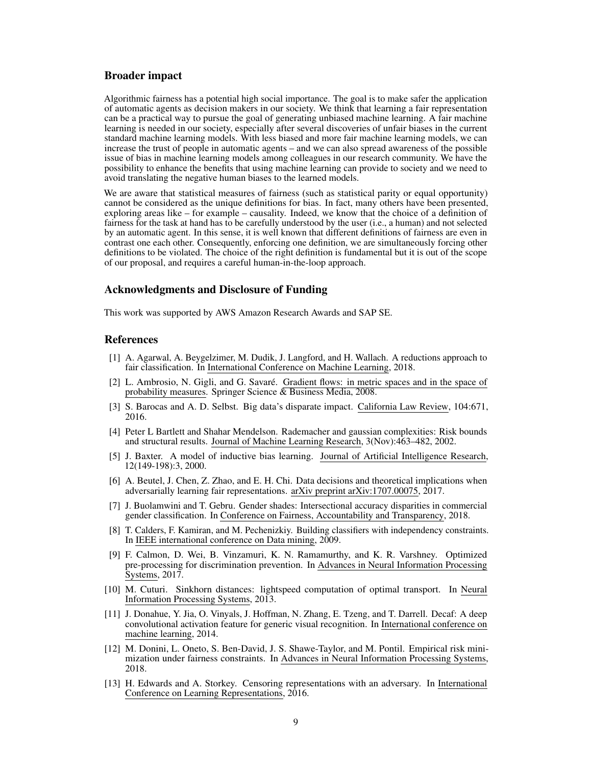#### Broader impact

Algorithmic fairness has a potential high social importance. The goal is to make safer the application of automatic agents as decision makers in our society. We think that learning a fair representation can be a practical way to pursue the goal of generating unbiased machine learning. A fair machine learning is needed in our society, especially after several discoveries of unfair biases in the current standard machine learning models. With less biased and more fair machine learning models, we can increase the trust of people in automatic agents – and we can also spread awareness of the possible issue of bias in machine learning models among colleagues in our research community. We have the possibility to enhance the benefits that using machine learning can provide to society and we need to avoid translating the negative human biases to the learned models.

We are aware that statistical measures of fairness (such as statistical parity or equal opportunity) cannot be considered as the unique definitions for bias. In fact, many others have been presented, exploring areas like – for example – causality. Indeed, we know that the choice of a definition of fairness for the task at hand has to be carefully understood by the user (i.e., a human) and not selected by an automatic agent. In this sense, it is well known that different definitions of fairness are even in contrast one each other. Consequently, enforcing one definition, we are simultaneously forcing other definitions to be violated. The choice of the right definition is fundamental but it is out of the scope of our proposal, and requires a careful human-in-the-loop approach.

#### Acknowledgments and Disclosure of Funding

This work was supported by AWS Amazon Research Awards and SAP SE.

#### References

- <span id="page-8-2"></span>[1] A. Agarwal, A. Beygelzimer, M. Dudik, J. Langford, and H. Wallach. A reductions approach to fair classification. In International Conference on Machine Learning, 2018.
- [2] L. Ambrosio, N. Gigli, and G. Savaré. Gradient flows: in metric spaces and in the space of probability measures. Springer Science & Business Media, 2008.
- <span id="page-8-0"></span>[3] S. Barocas and A. D. Selbst. Big data's disparate impact. California Law Review, 104:671, 2016.
- [4] Peter L Bartlett and Shahar Mendelson. Rademacher and gaussian complexities: Risk bounds and structural results. Journal of Machine Learning Research, 3(Nov):463–482, 2002.
- <span id="page-8-10"></span>[5] J. Baxter. A model of inductive bias learning. Journal of Artificial Intelligence Research, 12(149-198):3, 2000.
- <span id="page-8-8"></span>[6] A. Beutel, J. Chen, Z. Zhao, and E. H. Chi. Data decisions and theoretical implications when adversarially learning fair representations. arXiv preprint arXiv:1707.00075, 2017.
- <span id="page-8-1"></span>[7] J. Buolamwini and T. Gebru. Gender shades: Intersectional accuracy disparities in commercial gender classification. In Conference on Fairness, Accountability and Transparency, 2018.
- <span id="page-8-6"></span>[8] T. Calders, F. Kamiran, and M. Pechenizkiy. Building classifiers with independency constraints. In IEEE international conference on Data mining, 2009.
- <span id="page-8-4"></span>[9] F. Calmon, D. Wei, B. Vinzamuri, K. N. Ramamurthy, and K. R. Varshney. Optimized pre-processing for discrimination prevention. In Advances in Neural Information Processing Systems, 2017.
- <span id="page-8-7"></span>[10] M. Cuturi. Sinkhorn distances: lightspeed computation of optimal transport. In Neural Information Processing Systems, 2013.
- <span id="page-8-5"></span>[11] J. Donahue, Y. Jia, O. Vinyals, J. Hoffman, N. Zhang, E. Tzeng, and T. Darrell. Decaf: A deep convolutional activation feature for generic visual recognition. In International conference on machine learning, 2014.
- <span id="page-8-3"></span>[12] M. Donini, L. Oneto, S. Ben-David, J. S. Shawe-Taylor, and M. Pontil. Empirical risk minimization under fairness constraints. In Advances in Neural Information Processing Systems, 2018.
- <span id="page-8-9"></span>[13] H. Edwards and A. Storkey. Censoring representations with an adversary. In International Conference on Learning Representations, 2016.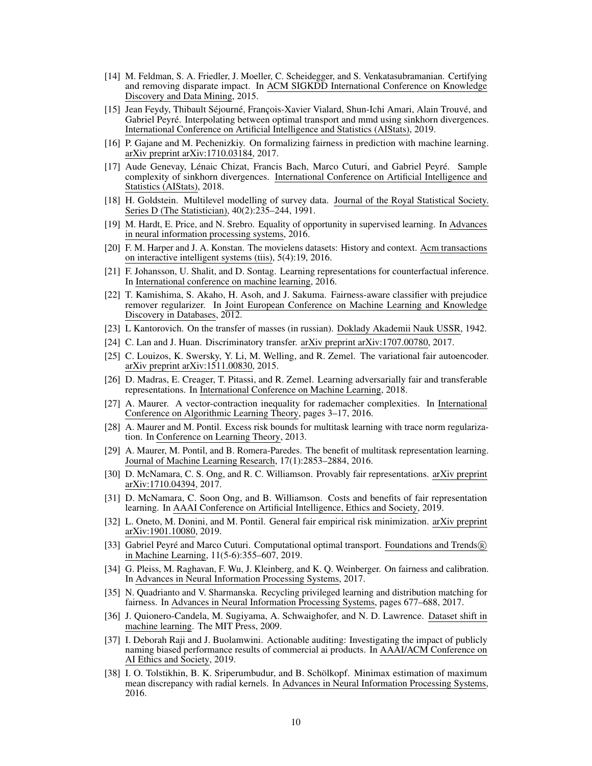- <span id="page-9-1"></span>[14] M. Feldman, S. A. Friedler, J. Moeller, C. Scheidegger, and S. Venkatasubramanian. Certifying and removing disparate impact. In ACM SIGKDD International Conference on Knowledge Discovery and Data Mining, 2015.
- <span id="page-9-18"></span>[15] Jean Feydy, Thibault Séjourné, François-Xavier Vialard, Shun-Ichi Amari, Alain Trouvé, and Gabriel Peyré. Interpolating between optimal transport and mmd using sinkhorn divergences. International Conference on Artificial Intelligence and Statistics (AIStats), 2019.
- <span id="page-9-15"></span>[16] P. Gajane and M. Pechenizkiy. On formalizing fairness in prediction with machine learning. arXiv preprint arXiv:1710.03184, 2017.
- <span id="page-9-19"></span>[17] Aude Genevay, Lénaic Chizat, Francis Bach, Marco Cuturi, and Gabriel Peyré. Sample complexity of sinkhorn divergences. International Conference on Artificial Intelligence and Statistics (AIStats), 2018.
- <span id="page-9-23"></span>[18] H. Goldstein. Multilevel modelling of survey data. Journal of the Royal Statistical Society. Series D (The Statistician), 40(2):235–244, 1991.
- <span id="page-9-2"></span>[19] M. Hardt, E. Price, and N. Srebro. Equality of opportunity in supervised learning. In Advances in neural information processing systems, 2016.
- <span id="page-9-24"></span>[20] F. M. Harper and J. A. Konstan. The movielens datasets: History and context. Acm transactions on interactive intelligent systems (tiis), 5(4):19, 2016.
- <span id="page-9-9"></span>[21] F. Johansson, U. Shalit, and D. Sontag. Learning representations for counterfactual inference. In International conference on machine learning, 2016.
- <span id="page-9-5"></span>[22] T. Kamishima, S. Akaho, H. Asoh, and J. Sakuma. Fairness-aware classifier with prejudice remover regularizer. In Joint European Conference on Machine Learning and Knowledge Discovery in Databases, 2012.
- <span id="page-9-17"></span>[23] L Kantorovich. On the transfer of masses (in russian). Doklady Akademii Nauk USSR, 1942.
- <span id="page-9-4"></span>[24] C. Lan and J. Huan. Discriminatory transfer. arXiv preprint arXiv:1707.00780, 2017.
- <span id="page-9-10"></span>[25] C. Louizos, K. Swersky, Y. Li, M. Welling, and R. Zemel. The variational fair autoencoder. arXiv preprint arXiv:1511.00830, 2015.
- <span id="page-9-11"></span>[26] D. Madras, E. Creager, T. Pitassi, and R. Zemel. Learning adversarially fair and transferable representations. In International Conference on Machine Learning, 2018.
- <span id="page-9-22"></span>[27] A. Maurer. A vector-contraction inequality for rademacher complexities. In International Conference on Algorithmic Learning Theory, pages 3–17, 2016.
- <span id="page-9-20"></span>[28] A. Maurer and M. Pontil. Excess risk bounds for multitask learning with trace norm regularization. In Conference on Learning Theory, 2013.
- <span id="page-9-21"></span>[29] A. Maurer, M. Pontil, and B. Romera-Paredes. The benefit of multitask representation learning. Journal of Machine Learning Research, 17(1):2853–2884, 2016.
- <span id="page-9-12"></span>[30] D. McNamara, C. S. Ong, and R. C. Williamson. Provably fair representations. arXiv preprint arXiv:1710.04394, 2017.
- <span id="page-9-13"></span>[31] D. McNamara, C. Soon Ong, and B. Williamson. Costs and benefits of fair representation learning. In AAAI Conference on Artificial Intelligence, Ethics and Society, 2019.
- <span id="page-9-6"></span>[32] L. Oneto, M. Donini, and M. Pontil. General fair empirical risk minimization. arXiv preprint arXiv:1901.10080, 2019.
- <span id="page-9-16"></span>[33] Gabriel Peyré and Marco Cuturi. Computational optimal transport. Foundations and Trends (R) in Machine Learning, 11(5-6):355–607, 2019.
- <span id="page-9-3"></span>[34] G. Pleiss, M. Raghavan, F. Wu, J. Kleinberg, and K. Q. Weinberger. On fairness and calibration. In Advances in Neural Information Processing Systems, 2017.
- <span id="page-9-7"></span>[35] N. Quadrianto and V. Sharmanska. Recycling privileged learning and distribution matching for fairness. In Advances in Neural Information Processing Systems, pages 677–688, 2017.
- <span id="page-9-14"></span>[36] J. Quionero-Candela, M. Sugiyama, A. Schwaighofer, and N. D. Lawrence. Dataset shift in machine learning. The MIT Press, 2009.
- <span id="page-9-0"></span>[37] I. Deborah Raji and J. Buolamwini. Actionable auditing: Investigating the impact of publicly naming biased performance results of commercial ai products. In AAAI/ACM Conference on AI Ethics and Society, 2019.
- <span id="page-9-8"></span>[38] I. O. Tolstikhin, B. K. Sriperumbudur, and B. Schölkopf. Minimax estimation of maximum mean discrepancy with radial kernels. In Advances in Neural Information Processing Systems, 2016.